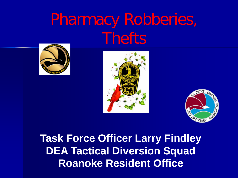# Pharmacy Robberies, **Thefts**







 **Task Force Officer Larry Findley DEA Tactical Diversion Squad Roanoke Resident Office**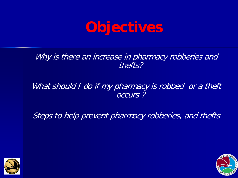

Why is there an increase in pharmacy robberies and thefts?

### What should I do if my pharmacy is robbed or a theft occurs ?

Steps to help prevent pharmacy robberies, and thefts



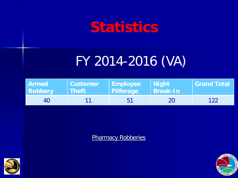# **Statistics**

# FY 2014-2016 (VA)

| Armed          | <b>Customer</b>    | Employee  | <b>Night</b>    | <b>Grand Total</b> |
|----------------|--------------------|-----------|-----------------|--------------------|
| <b>Robbery</b> | Theft <sup>1</sup> | Pilferage | <b>Break-In</b> |                    |
| 40             |                    | 51        | 20              | 122                |

**Pharmacy Robberies** 



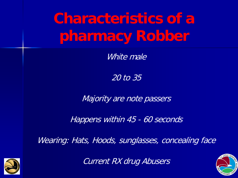**Characteristics of a pharmacy Robber** 

White male

20 to 35

Majority are note passers

Happens within 45 - 60 seconds

Wearing: Hats, Hoods, sunglasses, concealing face



Current RX drug Abusers

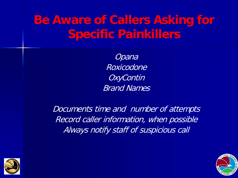## **Be Aware of Callers Asking for Specific Painkillers**

Opana Roxicodone **OxyContin** Brand Names

Documents time and number of attempts Record caller information, when possible Always notify staff of suspicious call



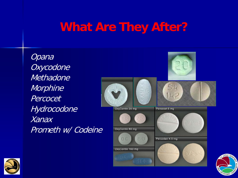### **What Are They After?**

**Opana Oxycodone Methadone Morphine** Percocet Hydrocodone Xanax Prometh w/ Codeine





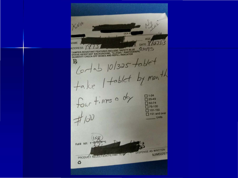KNA AGE DATE Y/JZI JAME ADDRESS ADDRESS AND THE TRACK INCLUDE: SAFETY-BLUE<br>TAMPER-RESISTANT FEATURES INCLUDE: SAFETY-BLUE<br>ERASE-RESISTANT BACKGROUND, "ILLEGAL" PANTOGRAPH, 29095 Cortab 10/325 tablet<br>take 1 tablet by month  $f_{\text{out}} + i$  mes a day **025-49**   $750 - 74$ **075-100**   $\Box$  101-150 **151** and over *-j;dD*  Refil NR DISPENSE AS WRITTEN **9JIM50297** PRODUCT SELECTION PERMITTER ය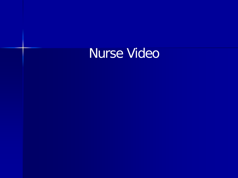# Nurse Video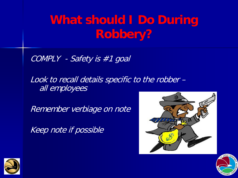## **What should I Do During Robbery?**

COMPLY - Safety is #1 goal

Look to recall details specific to the robber – all employees

Remember verbiage on note

Keep note if possible





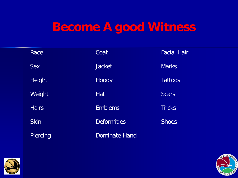### **Become A good Witness**

| Race          | Coat                 | <b>Facial Hair</b> |
|---------------|----------------------|--------------------|
| <b>Sex</b>    | <b>Jacket</b>        | <b>Marks</b>       |
| <b>Height</b> | Hoody                | <b>Tattoos</b>     |
| Weight        | Hat                  | <b>Scars</b>       |
| <b>Hairs</b>  | <b>Emblems</b>       | <b>Tricks</b>      |
| <b>Skin</b>   | <b>Deformities</b>   | <b>Shoes</b>       |
| Piercing      | <b>Dominate Hand</b> |                    |



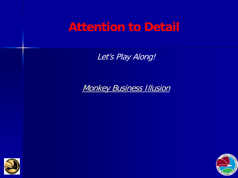### **Attention to Detail**

Let's Play Along!

**Monkey Business Illusion** 



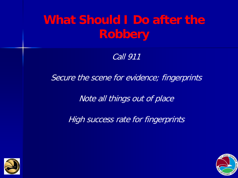## **What Should I Do after the Robbery**

Call 911

Secure the scene for evidence; fingerprints

Note all things out of place

High success rate for fingerprints



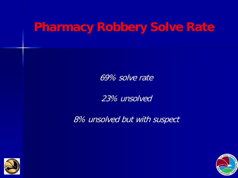## **Pharmacy Robbery Solve Rate**

69% solve rate

23% unsolved

8% unsolved but with suspect



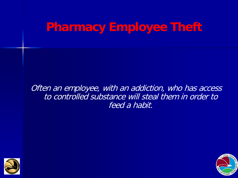**Pharmacy Employee Theft** 

Often an employee, with an addiction, who has access to controlled substance will steal them in order to feed a habit.



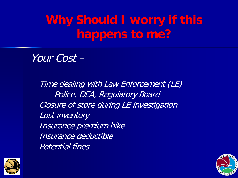**Why Should I worry if this happens to me?**

Your Cost –

Time dealing with Law Enforcement (LE) Police, DEA, Regulatory Board Closure of store during LE investigation Lost inventory Insurance premium hike Insurance deductible Potential fines



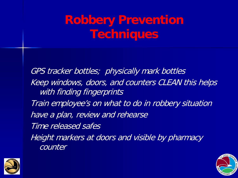GPS tracker bottles; physically mark bottles Keep windows, doors, and counters CLEAN this helps with finding fingerprints Train employee's on what to do in robbery situation have a plan, review and rehearse Time released safes Height markers at doors and visible by pharmacy counter



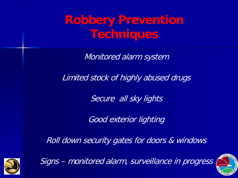Monitored alarm system

Limited stock of highly abused drugs

Secure all sky lights

Good exterior lighting

Roll down security gates for doors & windows



Signs – monitored alarm, surveillance in progress

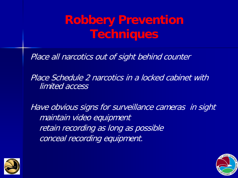Place all narcotics out of sight behind counter

Place Schedule 2 narcotics in a locked cabinet with limited access

Have obvious signs for surveillance cameras in sight maintain video equipment retain recording as long as possible conceal recording equipment.



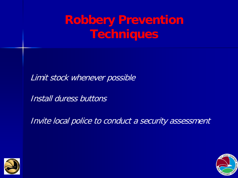Limit stock whenever possible

Install duress buttons

Invite local police to conduct a security assessment



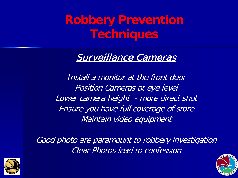### Surveillance Cameras

Install a monitor at the front door Position Cameras at eye level Lower camera height - more direct shot Ensure you have full coverage of store Maintain video equipment

Good photo are paramount to robbery investigation Clear Photos lead to confession



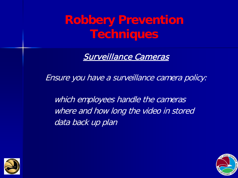Surveillance Cameras

Ensure you have a surveillance camera policy:

which employees handle the cameras where and how long the video in stored data back up plan



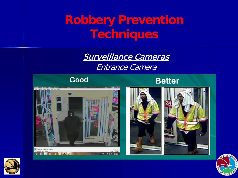Surveillance Cameras Entrance Camera



### **Better**







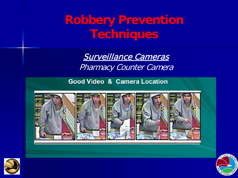> Surveillance Cameras Pharmacy Counter Camera

**Good Video & Camera Location** 





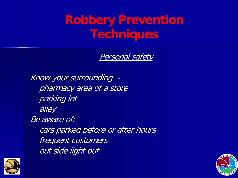Personal safety

Know your surrounding pharmacy area of a store parking lot alley Be aware of: cars parked before or after hours frequent customers out side light out



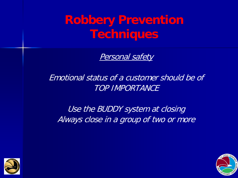Personal safety

Emotional status of a customer should be of TOP IMPORTANCE

Use the BUDDY system at closing Always close in a group of two or more



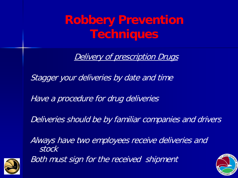Delivery of prescription Drugs

Stagger your deliveries by date and time

Have a procedure for drug deliveries

Deliveries should be by familiar companies and drivers

Always have two employees receive deliveries and stock



Both must sign for the received shipment

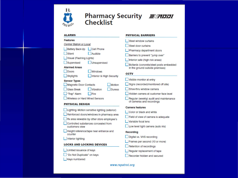

### **Pharmacy Security**  *.El:!l/IJDIJI*  **Checklist**

#### ALARMS

#### Features

| Central Station or Local     |
|------------------------------|
| Battery Back-Up   Cell Phone |
| Audible                      |
|                              |

Visual (Flashing Lights)

|  | Supervised |  |  |  |  |
|--|------------|--|--|--|--|
|--|------------|--|--|--|--|

Alarmed Areas

| ۰ | $-1$<br>v.<br>۰<br>s.<br>v |
|---|----------------------------|
|   |                            |

Interior & High Security

#### Sensor Types

| Magnetic Door Contacts | Motion |
|------------------------|--------|
|                        |        |

 $\Box$  Unsupervised

 $\Box$  Windows

**Trap**<sup>\*</sup> Alarm **D** Fire

**Wireless or Hard Wired Sensors** 

#### PHYSICAL DESIGN

- **Lighting-Motion sensitive lighting (exterior)**
- Reinforced doors/windows in pharmacy area
- D Rx area viewable by other store employee's
- Controlled substances concealed from customers view

**D** Height reference/tape near entrance and counter

Interior lighting

#### LOCKS AND LOCKING DEVICES

- Limited issuance of keys
- □ "Do Not Duplicate" on keys
- U Keys numbered

#### PHYSICAL BARRIERS

- Steel window curtains
- Steel door curtains

**U** Pharmacy department doors

- **Barriers to prevent "jump over"**
- Interior safe (high risk areas)
- Bollards (concrete/steel posts embedded in the ground outside premises)

#### **CCTV**

- D Visible monitor at entry
- D Signs (recorded/monitored off site)
- Drive-thru window camera
- **D** Hidden camera at customer face level
- D Regular (weekly) audit and maintenance of cameras and recordings

#### camera features

- **U** Color or black and white
- Field of view of camera is adequate
- U Variable focal lens
- **Low level light camera (auto iris)**

#### Recording

- Digital vs. VHS recording
- $\Box$  Frames per second (10 or more)
- Retention of recordings
- U Regular replacement of tape
- Recorder hidden and secured

#### www.rxpatrol.org

- Glass Break Vibration Duress
	-
	-
	-
	-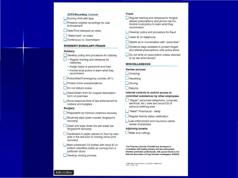#### CCTV/Recording Continued

**U** Dummy VHS with tape

**Preserve original recordings for Law Enforcement** 

Date/Time stamped on video

0 "Watermark" on video

Continuous vs. Event/Alarm

#### **ROBBERY/BURGLARY/FRAUD**

#### **Robbery**

Develop policy and procedure for robbery

- **1** Regular training and rehearsal for robberies.
	- Assign tasks to personnel and train
	- Involve local police to learn what they recommend

Police/Sheriff emergency number (911)

Protect crime scene/evidence

Do not disturb scene

Have/Obtain form for suspect description form on premises

Know response time of law enforcement to robbery and burglary

#### **Burglary**

Preparation for forensic evidence recovery

U Routinely wipe down oounter (fingerprint recovery)

Clean and wipe down fire exit break bar (fingerprint recovery)

Cardboard or paper placed on floor by rear/ side or fire exit prior to closing (shoe print recovery)

Mark scheduled CS bottles with store ID on bottom (identifies bottle as coming from a particular store)

Develop closing process

#### Fraud

- D Regular training and rehearsal for forged/ altered prescriptions and phone call-ins. Involve local police to learn what they recommend
- Develop policy and procedure for fraud

Caller ID on telephone

Details as to conversation with "prescriber"

**Evidence bags available to protect forged** and altered prescriptions until police arrive

Do not write on prescription unless directed to by law enforcement

#### **MISCELLANEOUS**

#### Review process

 $\Box$  Ordering

Receiving

Storing

**Returns** 

#### Internal controls to restrict access to controlled substances by other employees

- "Repair" personnel (telephone, computer, electrical, etc.) view and record 10 of persons entering area
- U "Relief" Pharmacist Verity
- Regular license status verification
- Law enforcement and insurance carrier review of premises

#### Adjoining tenants

**Walls and ceilings** 

This Pharmacy Security Checklist was developed in consultation with leading industry and law enforcement diversion prevention professionals, with special thanks to the National Association of Drug Diversion Investigators (NADDI).

@ 2006, 2007 Purdue Pharma L.P., Stamford, CT 06901-3431 CARY PASSES DAY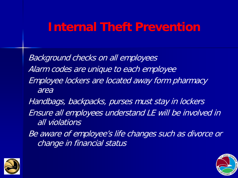### **Internal Theft Prevention**

Background checks on all employees Alarm codes are unique to each employee Employee lockers are located away form pharmacy area

Handbags, backpacks, purses must stay in lockers Ensure all employees understand LE will be involved in all violations

Be aware of employee's life changes such as divorce or change in financial status



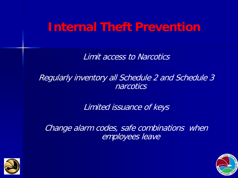### **Internal Theft Prevention**

Limit access to Narcotics

Regularly inventory all Schedule 2 and Schedule 3 narcotics

Limited issuance of keys

Change alarm codes, safe combinations when employees leave



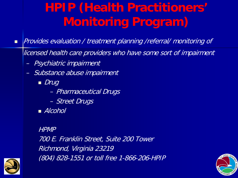# **HPIP (Health Practitioners' Monitoring Program)**

**Provides evaluation / treatment planning /referral/ monitoring of** 

licensed health care providers who have some sort of impairment

- Psychiatric impairment
- Substance abuse impairment
	- Drug
		- Pharmaceutical Drugs
		- Street Drugs
	- *Alcohol*

HPMP

700 E. Franklin Street, Suite 200 Tower Richmond, Virginia 23219 (804) 828-1551 or toll free 1-866-206-HPIP